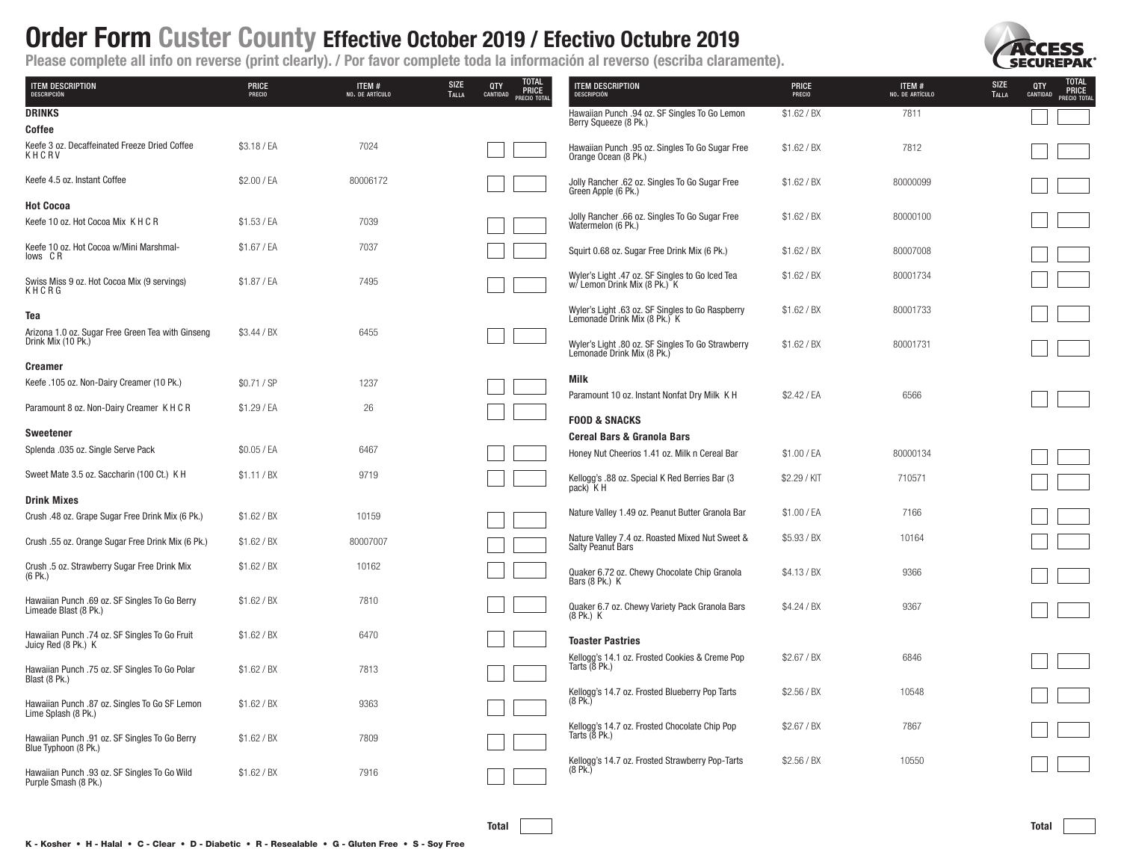

total

٦

٦

| <b>ITEM DESCRIPTION</b><br>DESCRIPCIÓN                                  | PRICE<br>PRECIO | ITEM #<br>NO. DE ARTÍCULO | <b>TOTAL<br/>PRICE</b><br><b>SIZE</b><br>QTY<br>CANTIDAD<br>TALLA<br>PRECIO TOTAL | <b>ITEM DESCRIPTION</b><br>DESCRIPCIÓN                                          | PRICE<br>PRECIO | ITEM #<br>NO. DE ARTÍCULO | TOTAL<br>PRICE<br><b>SIZE</b><br>QTY<br>CANTIDAD<br>TALLA<br>PRECIO TO |
|-------------------------------------------------------------------------|-----------------|---------------------------|-----------------------------------------------------------------------------------|---------------------------------------------------------------------------------|-----------------|---------------------------|------------------------------------------------------------------------|
| <b>DRINKS</b>                                                           |                 |                           |                                                                                   | Hawaiian Punch .94 oz. SF Singles To Go Lemon<br>Berry Squeeze (8 Pk.)          | \$1.62 / B X    | 7811                      |                                                                        |
| Coffee                                                                  |                 |                           |                                                                                   |                                                                                 |                 |                           |                                                                        |
| Keefe 3 oz. Decaffeinated Freeze Dried Coffee<br>KHCRV                  | \$3.18 / EA     | 7024                      |                                                                                   | Hawaiian Punch .95 oz. Singles To Go Sugar Free<br>Orange Ocean (8 Pk.)         | \$1.62 / BX     | 7812                      |                                                                        |
| Keefe 4.5 oz. Instant Coffee                                            | \$2.00 / EA     | 80006172                  |                                                                                   | Jolly Rancher .62 oz. Singles To Go Sugar Free<br>Green Apple (6 Pk.)           | \$1.62 / BX     | 80000099                  |                                                                        |
| <b>Hot Cocoa</b>                                                        |                 |                           |                                                                                   |                                                                                 |                 |                           |                                                                        |
| Keefe 10 oz. Hot Cocoa Mix K H C R                                      | \$1.53 / EA     | 7039                      |                                                                                   | Jolly Rancher .66 oz. Singles To Go Sugar Free<br>Watermelon (6 Pk.)            | \$1.62 / BX     | 80000100                  |                                                                        |
| Keefe 10 oz. Hot Cocoa w/Mini Marshmal-<br>lows CR                      | \$1.67 / EA     | 7037                      |                                                                                   | Squirt 0.68 oz. Sugar Free Drink Mix (6 Pk.)                                    | \$1.62 / B X    | 80007008                  |                                                                        |
| Swiss Miss 9 oz. Hot Cocoa Mix (9 servings)<br>KHCRG                    | \$1.87 / EA     | 7495                      |                                                                                   | Wyler's Light .47 oz. SF Singles to Go Iced Tea<br>w/ Lemon Drink Mix (8 Pk.) K | \$1.62 / BX     | 80001734                  |                                                                        |
| Tea                                                                     |                 |                           |                                                                                   | Wyler's Light .63 oz. SF Singles to Go Raspberry Lemonade Drink Mix (8 Pk.) K   | \$1.62 / BX     | 80001733                  |                                                                        |
| Arizona 1.0 oz. Sugar Free Green Tea with Ginseng<br>Drink Mix (10 Pk.) | \$3.44 / BX     | 6455                      |                                                                                   | Wyler's Light .80 oz. SF Singles To Go Strawberry<br>Lemonade Drink Mix (8 Pk.) | \$1.62 / B X    | 80001731                  |                                                                        |
| <b>Creamer</b>                                                          |                 |                           |                                                                                   |                                                                                 |                 |                           |                                                                        |
| Keefe .105 oz. Non-Dairy Creamer (10 Pk.)                               | \$0.71 / SP     | 1237                      |                                                                                   | Milk<br>Paramount 10 oz. Instant Nonfat Dry Milk K H                            | \$2.42 / EA     | 6566                      |                                                                        |
| Paramount 8 oz. Non-Dairy Creamer K H C R                               | \$1.29 / EA     | 26                        |                                                                                   | <b>FOOD &amp; SNACKS</b>                                                        |                 |                           |                                                                        |
| Sweetener                                                               |                 |                           |                                                                                   | <b>Cereal Bars &amp; Granola Bars</b>                                           |                 |                           |                                                                        |
| Splenda .035 oz. Single Serve Pack                                      | \$0.05 / EA     | 6467                      |                                                                                   | Honey Nut Cheerios 1.41 oz. Milk n Cereal Bar                                   | \$1.00 / EA     | 80000134                  |                                                                        |
| Sweet Mate 3.5 oz. Saccharin (100 Ct.) K H                              | \$1.11 / BX     | 9719                      |                                                                                   | Kellogg's .88 oz. Special K Red Berries Bar (3)<br>pack) K H                    | \$2.29 / KIT    | 710571                    |                                                                        |
| <b>Drink Mixes</b>                                                      |                 |                           |                                                                                   |                                                                                 |                 |                           |                                                                        |
| Crush .48 oz. Grape Sugar Free Drink Mix (6 Pk.)                        | \$1.62 / B X    | 10159                     |                                                                                   | Nature Valley 1.49 oz. Peanut Butter Granola Bar                                | \$1.00 / EA     | 7166                      |                                                                        |
| Crush .55 oz. Orange Sugar Free Drink Mix (6 Pk.)                       | \$1.62 / BX     | 80007007                  |                                                                                   | Nature Valley 7.4 oz. Roasted Mixed Nut Sweet &<br>Salty Peanut Bars            | \$5.93 / BX     | 10164                     |                                                                        |
| Crush .5 oz. Strawberry Sugar Free Drink Mix<br>$(6$ Pk.)               | \$1.62 / B X    | 10162                     |                                                                                   | Quaker 6.72 oz. Chewy Chocolate Chip Granola<br>Bars (8 Pk.) K                  | \$4.13 / BX     | 9366                      |                                                                        |
| Hawaiian Punch .69 oz. SF Singles To Go Berry<br>Limeade Blast (8 Pk.)  | \$1.62 / BX     | 7810                      |                                                                                   | Quaker 6.7 oz. Chewy Variety Pack Granola Bars<br>$(8$ Pk.) K                   | \$4.24 / BX     | 9367                      |                                                                        |
| Hawaiian Punch .74 oz. SF Singles To Go Fruit<br>Juicy Red (8 Pk.) K    | \$1.62 / B X    | 6470                      |                                                                                   | <b>Toaster Pastries</b>                                                         |                 |                           |                                                                        |
| Hawaiian Punch .75 oz. SF Singles To Go Polar<br>Blast (8 Pk.)          | \$1.62 / B X    | 7813                      |                                                                                   | Kellogg's 14.1 oz. Frosted Cookies & Creme Pop<br>Tarts $(8$ Pk.)               | \$2.67 / B X    | 6846                      |                                                                        |
| Hawaiian Punch .87 oz. Singles To Go SF Lemon<br>Lime Splash (8 Pk.)    | \$1.62 / BX     | 9363                      |                                                                                   | Kellogg's 14.7 oz. Frosted Blueberry Pop Tarts<br>$(8$ Pk.)                     | \$2.56 / B X    | 10548                     |                                                                        |
| Hawaiian Punch .91 oz. SF Singles To Go Berry<br>Blue Typhoon (8 Pk.)   | \$1.62 / B X    | 7809                      |                                                                                   | Kellogg's 14.7 oz. Frosted Chocolate Chip Pop<br>Tarts (8 Pk.)                  | \$2.67 / B X    | 7867                      |                                                                        |
| Hawaiian Punch .93 oz. SF Singles To Go Wild<br>Purple Smash (8 Pk.)    | \$1.62 / BX     | 7916                      |                                                                                   | Kellogg's 14.7 oz. Frosted Strawberry Pop-Tarts<br>$(8$ Pk.)                    | \$2.56 / B X    | 10550                     |                                                                        |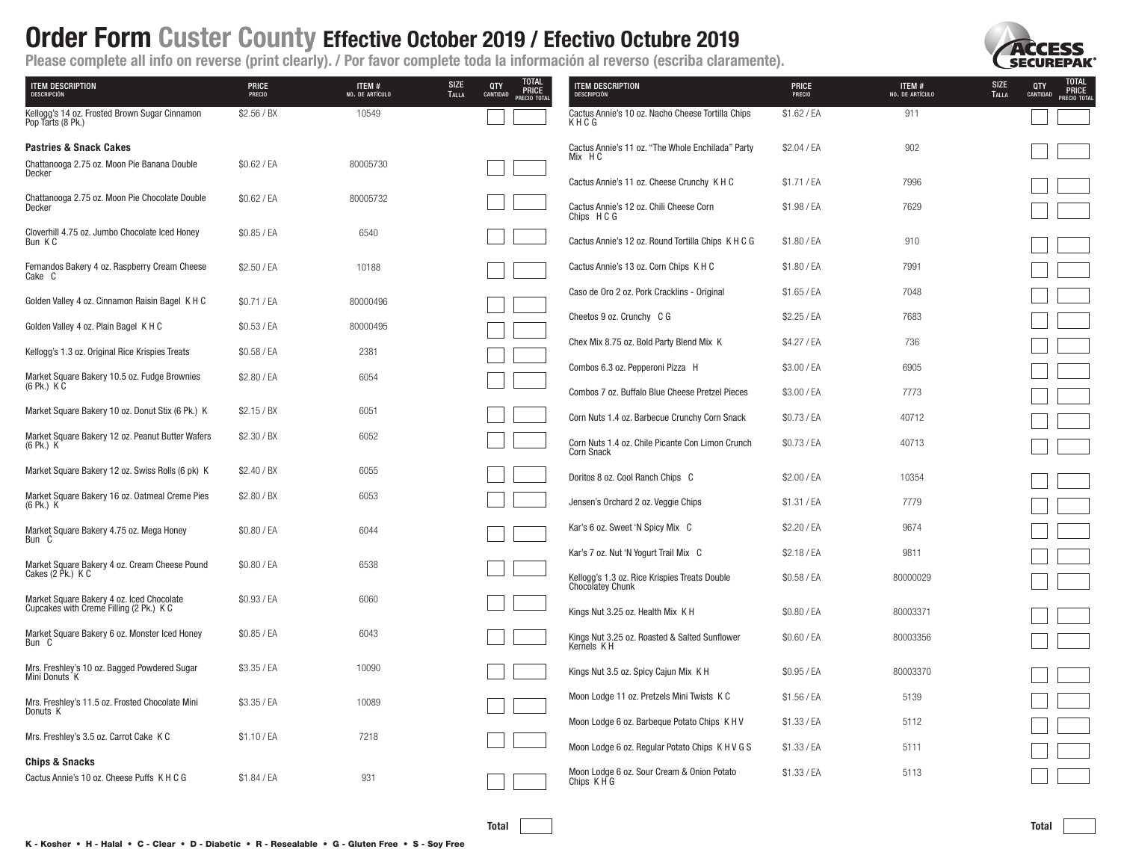

| <b>TEM DESCRIPTION</b><br><b>DESCRIPCIÓN</b>                                         | <b>PRICE</b><br>PRECIO | ITEM #<br>NO. DE ARTÍCULO | TOTAL<br>PRICE<br><b>SIZE</b><br>QTY<br><b>TALLA</b><br>CANTIDAD<br>PRECIO TOTA | <b>TEM DESCRIPTION</b><br><b>DESCRIPCIÓN</b>                          | <b>PRICE</b><br>PRECIO | ITEM #<br>NO. DE ARTÍCULO | <b>TOTAL<br/>PRICE</b><br><b>SIZE</b><br>QTY<br><b>TALLA</b><br>CANTIDAD<br>PRECIO TOTA |
|--------------------------------------------------------------------------------------|------------------------|---------------------------|---------------------------------------------------------------------------------|-----------------------------------------------------------------------|------------------------|---------------------------|-----------------------------------------------------------------------------------------|
| Kellogg's 14 oz. Frosted Brown Sugar Cinnamon<br>Pop Tarts (8 Pk.)                   | \$2.56 / B X           | 10549                     |                                                                                 | Cactus Annie's 10 oz. Nacho Cheese Tortilla Chips<br>KHCG             | \$1.62 / EA            | 911                       |                                                                                         |
| <b>Pastries &amp; Snack Cakes</b>                                                    |                        |                           |                                                                                 | Cactus Annie's 11 oz. "The Whole Enchilada" Party<br>Mix HC           | \$2.04 / EA            | 902                       |                                                                                         |
| Chattanooga 2.75 oz. Moon Pie Banana Double<br>Decker                                | \$0.62 / EA            | 80005730                  |                                                                                 | Cactus Annie's 11 oz. Cheese Crunchy K H C                            | \$1.71 / EA            | 7996                      |                                                                                         |
| Chattanooga 2.75 oz. Moon Pie Chocolate Double<br>Decker                             | \$0.62 / EA            | 80005732                  |                                                                                 | Cactus Annie's 12 oz. Chili Cheese Corn<br>Chips HCG                  | \$1.98 / EA            | 7629                      |                                                                                         |
| Cloverhill 4.75 oz. Jumbo Chocolate Iced Honey<br>Bun KC                             | \$0.85 / EA            | 6540                      |                                                                                 | Cactus Annie's 12 oz. Round Tortilla Chips K H C G                    | \$1.80 / EA            | 910                       |                                                                                         |
| Fernandos Bakery 4 oz. Raspberry Cream Cheese<br>Cake C                              | \$2.50 / EA            | 10188                     |                                                                                 | Cactus Annie's 13 oz. Corn Chips K H C                                | \$1.80 / EA            | 7991                      |                                                                                         |
| Golden Valley 4 oz. Cinnamon Raisin Bagel K H C                                      | \$0.71 / EA            | 80000496                  |                                                                                 | Caso de Oro 2 oz. Pork Cracklins - Original                           | \$1.65 / EA            | 7048                      |                                                                                         |
| Golden Valley 4 oz. Plain Bagel K H C                                                | \$0.53 / EA            | 80000495                  |                                                                                 | Cheetos 9 oz. Crunchy C G                                             | \$2.25 / EA            | 7683                      |                                                                                         |
| Kellogg's 1.3 oz. Original Rice Krispies Treats                                      | \$0.58 / EA            | 2381                      |                                                                                 | Chex Mix 8.75 oz. Bold Party Blend Mix K                              | \$4.27 / EA            | 736                       |                                                                                         |
| Market Square Bakery 10.5 oz. Fudge Brownies                                         | \$2.80 / EA            | 6054                      |                                                                                 | Combos 6.3 oz. Pepperoni Pizza H                                      | \$3.00 / EA            | 6905                      |                                                                                         |
| $(6$ Pk.) $K$ C                                                                      |                        |                           |                                                                                 | Combos 7 oz. Buffalo Blue Cheese Pretzel Pieces                       | \$3.00 / EA            | 7773                      |                                                                                         |
| Market Square Bakery 10 oz. Donut Stix (6 Pk.) K                                     | \$2.15 / BX            | 6051                      |                                                                                 | Corn Nuts 1.4 oz. Barbecue Crunchy Corn Snack                         | \$0.73 / EA            | 40712                     |                                                                                         |
| Market Square Bakery 12 oz. Peanut Butter Wafers<br>(6 Pk.) K                        | \$2.30 / BX            | 6052                      |                                                                                 | Corn Nuts 1.4 oz. Chile Picante Con Limon Crunch<br><b>Corn Snack</b> | \$0.73 / EA            | 40713                     |                                                                                         |
| Market Square Bakery 12 oz. Swiss Rolls (6 pk) K                                     | \$2.40 / B X           | 6055                      |                                                                                 | Doritos 8 oz. Cool Ranch Chips C                                      | \$2.00 / EA            | 10354                     |                                                                                         |
| Market Square Bakery 16 oz. Oatmeal Creme Pies<br>(6 Pk.) K                          | \$2.80 / BX            | 6053                      |                                                                                 | Jensen's Orchard 2 oz. Veggie Chips                                   | \$1.31 / EA            | 7779                      |                                                                                         |
| Market Square Bakery 4.75 oz. Mega Honey<br>Bun C                                    | \$0.80 / EA            | 6044                      |                                                                                 | Kar's 6 oz. Sweet 'N Spicy Mix C                                      | \$2.20 / EA            | 9674                      |                                                                                         |
| Market Square Bakery 4 oz. Cream Cheese Pound                                        | \$0.80 / EA            | 6538                      |                                                                                 | Kar's 7 oz. Nut 'N Yogurt Trail Mix C                                 | \$2.18 / EA            | 9811                      |                                                                                         |
| Cakes (2 Pk.) K C                                                                    |                        |                           |                                                                                 | Kellogg's 1.3 oz. Rice Krispies Treats Double<br>Chocolatey Chunk     | \$0.58 / EA            | 80000029                  |                                                                                         |
| Market Square Bakery 4 oz. Iced Chocolate<br>Cupcakes with Creme Filling (2 Pk.) K C | \$0.93 / EA            | 6060                      |                                                                                 | Kings Nut 3.25 oz. Health Mix K H                                     | \$0.80 / EA            | 80003371                  |                                                                                         |
| Market Square Bakery 6 oz. Monster Iced Honey<br>Bun C                               | \$0.85 / EA            | 6043                      |                                                                                 | Kings Nut 3.25 oz. Roasted & Salted Sunflower<br>Kernels KH           | \$0.60 / EA            | 80003356                  |                                                                                         |
| Mrs. Freshley's 10 oz. Bagged Powdered Sugar<br>Mini Donuts K                        | \$3.35 / EA            | 10090                     |                                                                                 | Kings Nut 3.5 oz. Spicy Cajun Mix K H                                 | \$0.95 / EA            | 80003370                  |                                                                                         |
| Mrs. Freshley's 11.5 oz. Frosted Chocolate Mini                                      | \$3.35 / EA            | 10089                     |                                                                                 | Moon Lodge 11 oz. Pretzels Mini Twists K C                            | \$1.56 / EA            | 5139                      |                                                                                         |
| Donuts <sub>K</sub>                                                                  |                        |                           |                                                                                 | Moon Lodge 6 oz. Barbeque Potato Chips K H V                          | \$1.33 / EA            | 5112                      |                                                                                         |
| Mrs. Freshley's 3.5 oz. Carrot Cake K C                                              | \$1.10 / EA            | 7218                      |                                                                                 | Moon Lodge 6 oz. Regular Potato Chips K H V G S                       | \$1.33 / EA            | 5111                      |                                                                                         |
| <b>Chips &amp; Snacks</b><br>Cactus Annie's 10 oz. Cheese Puffs K H C G              | \$1.84 / EA            | 931                       |                                                                                 | Moon Lodge 6 oz. Sour Cream & Onion Potato<br>Chips KHG               | \$1.33 / EA            | 5113                      |                                                                                         |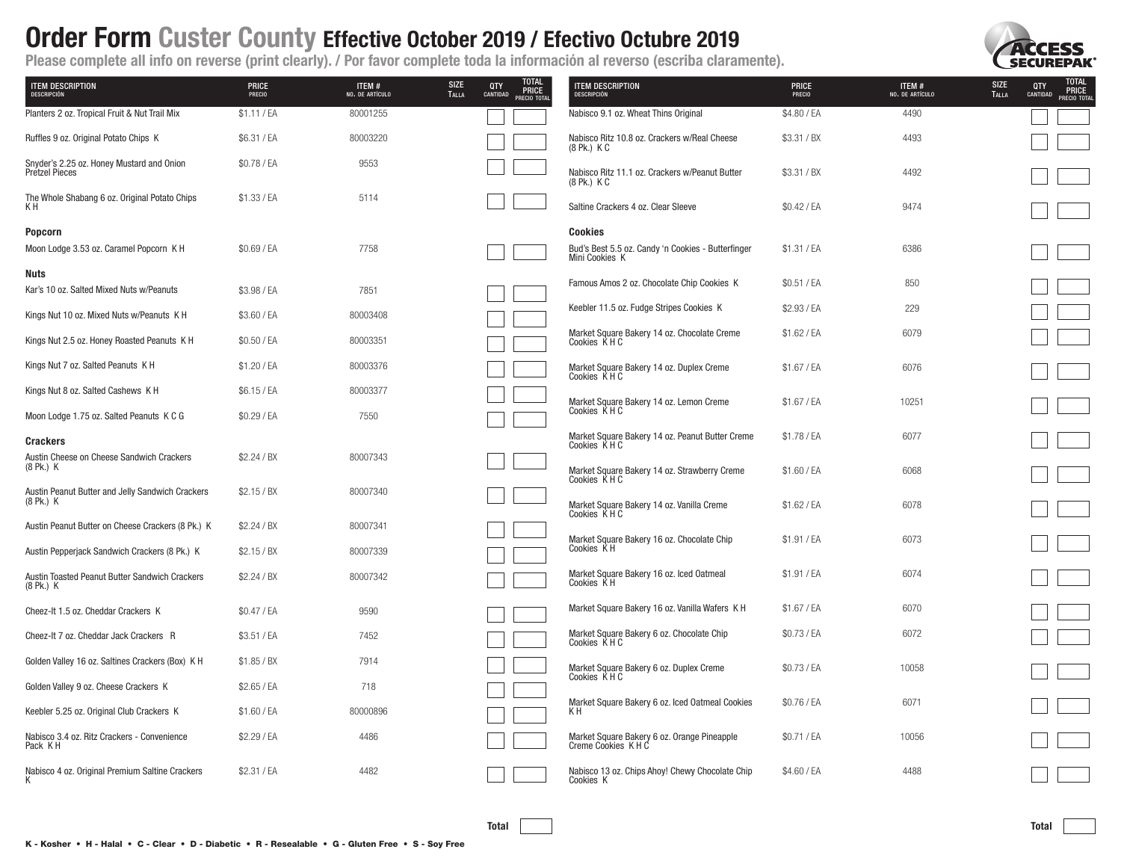

| <b>ITEM DESCRIPTION</b><br>DESCRIPCIÓN                             | <b>PRICE</b><br>PRECIO | ITEM#<br>NO. DE ARTÍCULO | TOTAL<br>PRICE<br><b>SIZE</b><br><b>QTY</b><br>CANTIDAD<br><b>TALLA</b><br>PRECIO TOTA | <b>TEM DESCRIPTION</b><br>DESCRIPCIÓN                                           | <b>PRICE</b><br>PRECIO | ITEM #<br>NO. DE ARTÍCULO | <b>TOTAL<br/>PRICE</b><br><b>SIZE</b><br>QTY<br><b>TALLA</b><br>CANTIDAD<br>PRECIO TOTAL |
|--------------------------------------------------------------------|------------------------|--------------------------|----------------------------------------------------------------------------------------|---------------------------------------------------------------------------------|------------------------|---------------------------|------------------------------------------------------------------------------------------|
| Planters 2 oz. Tropical Fruit & Nut Trail Mix                      | \$1.11 / EA            | 80001255                 |                                                                                        | Nabisco 9.1 oz. Wheat Thins Original                                            | \$4.80 / EA            | 4490                      |                                                                                          |
| Ruffles 9 oz. Original Potato Chips K                              | \$6.31 / EA            | 80003220                 |                                                                                        | Nabisco Ritz 10.8 oz. Crackers w/Real Cheese<br>(8 Pk.) K C                     | \$3.31 / BX            | 4493                      |                                                                                          |
| Snyder's 2.25 oz. Honey Mustard and Onion<br><b>Pretzel Pieces</b> | \$0.78 / EA            | 9553                     |                                                                                        | Nabisco Ritz 11.1 oz. Crackers w/Peanut Butter<br>(8 Pk.) K C                   | \$3.31 / BX            | 4492                      |                                                                                          |
| The Whole Shabang 6 oz. Original Potato Chips<br>KН                | \$1.33 / EA            | 5114                     |                                                                                        | Saltine Crackers 4 oz. Clear Sleeve                                             | \$0.42 / EA            | 9474                      |                                                                                          |
| <b>Popcorn</b><br>Moon Lodge 3.53 oz. Caramel Popcorn K H          | \$0.69 / EA            | 7758                     |                                                                                        | Cookies<br>Bud's Best 5.5 oz. Candy 'n Cookies - Butterfinger<br>Mini Cookies K | \$1.31 / EA            | 6386                      |                                                                                          |
| Nuts<br>Kar's 10 oz. Salted Mixed Nuts w/Peanuts                   | \$3.98 / EA            | 7851                     |                                                                                        | Famous Amos 2 oz. Chocolate Chip Cookies K                                      | \$0.51 / EA            | 850                       |                                                                                          |
| Kings Nut 10 oz. Mixed Nuts w/Peanuts K H                          | \$3.60 / EA            | 80003408                 |                                                                                        | Keebler 11.5 oz. Fudge Stripes Cookies K                                        | \$2.93 / EA            | 229                       |                                                                                          |
| Kings Nut 2.5 oz. Honey Roasted Peanuts K H                        | \$0.50 / EA            | 80003351                 |                                                                                        | Market Square Bakery 14 oz. Chocolate Creme<br>Cookies KHC                      | \$1.62 / EA            | 6079                      |                                                                                          |
| Kings Nut 7 oz. Salted Peanuts K H                                 | \$1.20 / EA            | 80003376                 |                                                                                        | Market Square Bakery 14 oz. Duplex Creme<br>Cookies KHC                         | \$1.67 / EA            | 6076                      |                                                                                          |
| Kings Nut 8 oz. Salted Cashews K H                                 | \$6.15 / EA            | 80003377                 |                                                                                        | Market Square Bakery 14 oz. Lemon Creme                                         | \$1.67 / EA            | 10251                     |                                                                                          |
| Moon Lodge 1.75 oz. Salted Peanuts K C G                           | \$0.29 / EA            | 7550                     |                                                                                        | Cookies KHC                                                                     |                        |                           |                                                                                          |
| <b>Crackers</b>                                                    |                        |                          |                                                                                        | Market Square Bakery 14 oz. Peanut Butter Creme<br>Cookies KHC                  | \$1.78 / EA            | 6077                      |                                                                                          |
| Austin Cheese on Cheese Sandwich Crackers<br>(8 Pk.) K             | \$2.24 / B X           | 80007343                 |                                                                                        | Market Square Bakery 14 oz. Strawberry Creme<br>Cookies KHC                     | \$1.60 / EA            | 6068                      |                                                                                          |
| Austin Peanut Butter and Jelly Sandwich Crackers<br>(8 Pk.) K      | \$2.15 / B X           | 80007340                 |                                                                                        | Market Square Bakery 14 oz. Vanilla Creme<br>Cookies KHC                        | \$1.62 / EA            | 6078                      |                                                                                          |
| Austin Peanut Butter on Cheese Crackers (8 Pk.) K                  | \$2.24 / BX            | 80007341                 |                                                                                        |                                                                                 |                        |                           |                                                                                          |
| Austin Pepperjack Sandwich Crackers (8 Pk.) K                      | \$2.15 / BX            | 80007339                 |                                                                                        | Market Square Bakery 16 oz. Chocolate Chip<br>Cookies KH                        | \$1.91 / EA            | 6073                      |                                                                                          |
| Austin Toasted Peanut Butter Sandwich Crackers<br>(8 Pk.) K        | \$2.24 / B X           | 80007342                 |                                                                                        | Market Square Bakery 16 oz. Iced Oatmeal<br>Cookies KH                          | \$1.91 / EA            | 6074                      |                                                                                          |
| Cheez-It 1.5 oz. Cheddar Crackers K                                | \$0.47 / EA            | 9590                     |                                                                                        | Market Square Bakery 16 oz. Vanilla Wafers K H                                  | \$1.67 / EA            | 6070                      |                                                                                          |
| Cheez-It 7 oz. Cheddar Jack Crackers R                             | \$3.51 / EA            | 7452                     |                                                                                        | Market Square Bakery 6 oz. Chocolate Chip<br>Cookies KHC                        | \$0.73 / EA            | 6072                      |                                                                                          |
| Golden Valley 16 oz. Saltines Crackers (Box) K H                   | \$1.85 / BX            | 7914                     |                                                                                        | Market Square Bakery 6 oz. Duplex Creme                                         | \$0.73 / EA            | 10058                     |                                                                                          |
| Golden Valley 9 oz. Cheese Crackers K                              | \$2.65 / EA            | 718                      |                                                                                        | Cookies KHC                                                                     |                        |                           |                                                                                          |
| Keebler 5.25 oz. Original Club Crackers K                          | \$1.60 / EA            | 80000896                 |                                                                                        | Market Square Bakery 6 oz. Iced Oatmeal Cookies<br>K H                          | \$0.76 / EA            | 6071                      |                                                                                          |
| Nabisco 3.4 oz. Ritz Crackers - Convenience<br>Pack KH             | \$2.29 / EA            | 4486                     |                                                                                        | Market Square Bakery 6 oz. Orange Pineapple<br>Creme Cookies K H C              | \$0.71 / EA            | 10056                     |                                                                                          |
| Nabisco 4 oz. Original Premium Saltine Crackers                    | \$2.31 / EA            | 4482                     |                                                                                        | Nabisco 13 oz. Chips Ahoy! Chewy Chocolate Chip<br>Cookies K                    | \$4.60 / EA            | 4488                      |                                                                                          |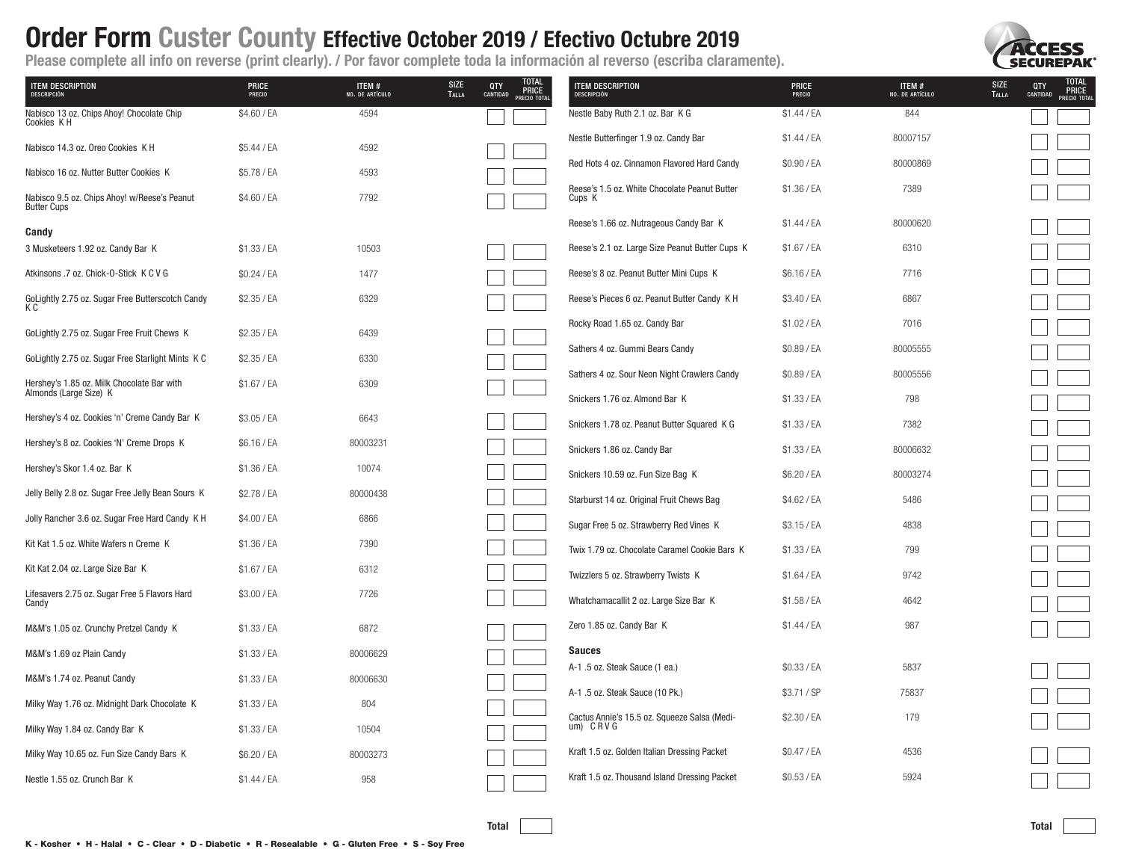

| <b>ITEM DESCRIPTION</b><br>DESCRIPCIÓN                             | PRICE<br>PRECIO | ITEM #<br>NO. DE ARTÍCULO | TOTAL<br>PRICE<br>PRECIO TOTAL<br><b>SIZE</b><br>QTY<br><b>TALLA</b><br>CANTIDAD | <b>ITEM DESCRIPTION</b><br>DESCRIPCIÓN                          | PRICE<br>PRECIO | <b>SIZE</b><br>ITEM #<br>NO. DE ARTÍCULO<br><b>TALLA</b> | TOTAL<br>PRICE<br>PRECIO TOTAL<br>QTY<br>CANTIDAD |
|--------------------------------------------------------------------|-----------------|---------------------------|----------------------------------------------------------------------------------|-----------------------------------------------------------------|-----------------|----------------------------------------------------------|---------------------------------------------------|
| Nabisco 13 oz. Chips Ahoy! Chocolate Chip<br>Cookies K H           | \$4.60 / EA     | 4594                      |                                                                                  | Nestle Baby Ruth 2.1 oz. Bar K G                                | \$1.44 / EA     | 844                                                      |                                                   |
| Nabisco 14.3 oz. Oreo Cookies K H                                  | \$5.44 / EA     | 4592                      |                                                                                  | Nestle Butterfinger 1.9 oz. Candy Bar                           | \$1.44 / EA     | 80007157                                                 |                                                   |
| Nabisco 16 oz. Nutter Butter Cookies K                             | \$5.78 / EA     | 4593                      |                                                                                  | Red Hots 4 oz. Cinnamon Flavored Hard Candy                     | \$0.90 / EA     | 80000869                                                 |                                                   |
| Nabisco 9.5 oz. Chips Ahoy! w/Reese's Peanut<br><b>Butter Cups</b> | \$4.60 / EA     | 7792                      |                                                                                  | Reese's 1.5 oz. White Chocolate Peanut Butter<br>Cups K         | \$1.36 / EA     | 7389                                                     |                                                   |
| Candy                                                              |                 |                           |                                                                                  | Reese's 1.66 oz. Nutrageous Candy Bar K                         | \$1.44 / EA     | 80000620                                                 |                                                   |
| 3 Musketeers 1.92 oz. Candy Bar K                                  | \$1.33 / EA     | 10503                     |                                                                                  | Reese's 2.1 oz. Large Size Peanut Butter Cups K                 | \$1.67 / EA     | 6310                                                     |                                                   |
| Atkinsons .7 oz. Chick-0-Stick K C V G                             | $$0.24$ / EA    | 1477                      |                                                                                  | Reese's 8 oz. Peanut Butter Mini Cups K                         | \$6.16 / EA     | 7716                                                     |                                                   |
| GoLightly 2.75 oz. Sugar Free Butterscotch Candy<br>КC             | \$2.35 / EA     | 6329                      |                                                                                  | Reese's Pieces 6 oz. Peanut Butter Candy K H                    | \$3.40 / EA     | 6867                                                     |                                                   |
| GoLightly 2.75 oz. Sugar Free Fruit Chews K                        | \$2.35 / EA     | 6439                      |                                                                                  | Rocky Road 1.65 oz. Candy Bar                                   | \$1.02 / EA     | 7016                                                     |                                                   |
| GoLightly 2.75 oz. Sugar Free Starlight Mints K C                  | \$2.35 / EA     | 6330                      |                                                                                  | Sathers 4 oz. Gummi Bears Candy                                 | \$0.89 / EA     | 80005555                                                 |                                                   |
| Hershey's 1.85 oz. Milk Chocolate Bar with                         | \$1.67 / EA     | 6309                      |                                                                                  | Sathers 4 oz. Sour Neon Night Crawlers Candy                    | \$0.89 / EA     | 80005556                                                 |                                                   |
| Almonds (Large Size) K                                             |                 |                           |                                                                                  | Snickers 1.76 oz. Almond Bar K                                  | \$1.33 / EA     | 798                                                      |                                                   |
| Hershey's 4 oz. Cookies 'n' Creme Candy Bar K                      | \$3.05 / EA     | 6643                      |                                                                                  | Snickers 1.78 oz. Peanut Butter Squared K G                     | \$1.33 / EA     | 7382                                                     |                                                   |
| Hershey's 8 oz. Cookies 'N' Creme Drops K                          | \$6.16 / EA     | 80003231                  |                                                                                  | Snickers 1.86 oz. Candy Bar                                     | \$1.33 / EA     | 80006632                                                 |                                                   |
| Hershey's Skor 1.4 oz. Bar K                                       | \$1.36 / EA     | 10074                     |                                                                                  | Snickers 10.59 oz. Fun Size Bag K                               | \$6.20 / EA     | 80003274                                                 |                                                   |
| Jelly Belly 2.8 oz. Sugar Free Jelly Bean Sours K                  | \$2.78 / EA     | 80000438                  |                                                                                  | Starburst 14 oz. Original Fruit Chews Bag                       | \$4.62 / EA     | 5486                                                     |                                                   |
| Jolly Rancher 3.6 oz. Sugar Free Hard Candy K H                    | \$4.00 / EA     | 6866                      |                                                                                  | Sugar Free 5 oz. Strawberry Red Vines K                         | \$3.15 / EA     | 4838                                                     |                                                   |
| Kit Kat 1.5 oz. White Wafers n Creme K                             | \$1.36 / EA     | 7390                      |                                                                                  | Twix 1.79 oz. Chocolate Caramel Cookie Bars K                   | \$1.33 / EA     | 799                                                      |                                                   |
| Kit Kat 2.04 oz. Large Size Bar K                                  | \$1.67 / EA     | 6312                      |                                                                                  | Twizzlers 5 oz. Strawberry Twists K                             | \$1.64 / EA     | 9742                                                     |                                                   |
| Lifesavers 2.75 oz. Sugar Free 5 Flavors Hard<br>Candy             | \$3.00 / EA     | 7726                      |                                                                                  | Whatchamacallit 2 oz. Large Size Bar K                          | \$1.58 / EA     | 4642                                                     |                                                   |
| M&M's 1.05 oz. Crunchy Pretzel Candy K                             | \$1.33 / EA     | 6872                      |                                                                                  | Zero 1.85 oz. Candy Bar K                                       | \$1.44 / EA     | 987                                                      |                                                   |
| M&M's 1.69 oz Plain Candy                                          | \$1.33 / EA     | 80006629                  |                                                                                  | <b>Sauces</b>                                                   |                 |                                                          |                                                   |
| M&M's 1.74 oz. Peanut Candy                                        | \$1.33 / EA     | 80006630                  |                                                                                  | A-1 .5 oz. Steak Sauce (1 ea.)                                  | \$0.33 / EA     | 5837                                                     |                                                   |
| Milky Way 1.76 oz. Midnight Dark Chocolate K                       | \$1.33 / EA     | 804                       |                                                                                  | A-1 .5 oz. Steak Sauce (10 Pk.)                                 | \$3.71 / SP     | 75837                                                    |                                                   |
| Milky Way 1.84 oz. Candy Bar K                                     | \$1.33 / EA     | 10504                     |                                                                                  | Cactus Annie's 15.5 oz. Squeeze Salsa (Medi-<br>$um)$ $CRV$ $G$ | \$2.30 / EA     | 179                                                      |                                                   |
| Milky Way 10.65 oz. Fun Size Candy Bars K                          | \$6.20 / EA     | 80003273                  |                                                                                  | Kraft 1.5 oz. Golden Italian Dressing Packet                    | \$0.47 / EA     | 4536                                                     |                                                   |
| Nestle 1.55 oz. Crunch Bar K                                       | $$1.44$ / EA    | 958                       |                                                                                  | Kraft 1.5 oz. Thousand Island Dressing Packet                   | \$0.53 / EA     | 5924                                                     |                                                   |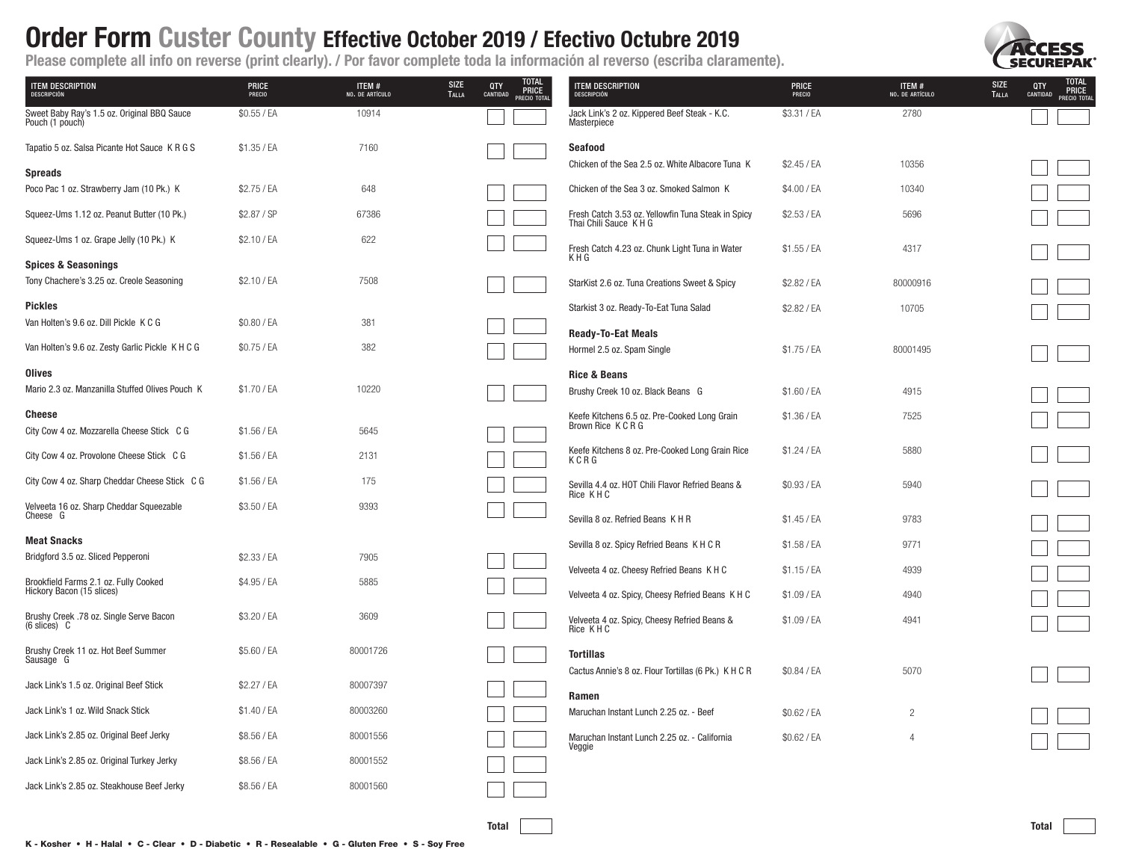**SECUREDAK** 

|                                                                         | -               | --                        |                                                                             |                                                                              |                 |                           |                                                                           |
|-------------------------------------------------------------------------|-----------------|---------------------------|-----------------------------------------------------------------------------|------------------------------------------------------------------------------|-----------------|---------------------------|---------------------------------------------------------------------------|
| <b>TEM DESCRIPTION</b><br>DESCRIPCIÓN                                   | PRICE<br>PRECIO | ITEM #<br>NO. DE ARTÍCULO | TOTAL<br>PRICE<br>PRECIO TOTAL<br><b>SIZE</b><br>$QTY$<br>Cantidad<br>TALLA | <b>ITEM DESCRIPTION</b><br>DESCRIPCIÓN                                       | PRICE<br>PRECIO | ITEM #<br>NO. DE ARTÍCULO | TOTAL<br>PRICE<br>PRECIO TOTAL<br><b>SIZE</b><br>QTY<br>CANTIDAD<br>TALLA |
| Sweet Baby Ray's 1.5 oz. Original BBQ Sauce<br>Pouch (1 pouch)          | \$0.55 / EA     | 10914                     |                                                                             | Jack Link's 2 oz. Kippered Beef Steak - K.C.<br>Masterpiece                  | \$3.31 / EA     | 2780                      |                                                                           |
| Tapatio 5 oz. Salsa Picante Hot Sauce K R G S                           | \$1.35 / EA     | 7160                      |                                                                             | <b>Seafood</b>                                                               |                 |                           |                                                                           |
| <b>Spreads</b>                                                          |                 |                           |                                                                             | Chicken of the Sea 2.5 oz. White Albacore Tuna K                             | \$2.45 / EA     | 10356                     |                                                                           |
| Poco Pac 1 oz. Strawberry Jam (10 Pk.) K                                | \$2.75 / EA     | 648                       |                                                                             | Chicken of the Sea 3 oz. Smoked Salmon K                                     | \$4.00 / EA     | 10340                     |                                                                           |
| Squeez-Ums 1.12 oz. Peanut Butter (10 Pk.)                              | \$2.87 / SP     | 67386                     |                                                                             | Fresh Catch 3.53 oz. Yellowfin Tuna Steak in Spicy<br>Thai Chili Sauce K H G | \$2.53 / EA     | 5696                      |                                                                           |
| Squeez-Ums 1 oz. Grape Jelly (10 Pk.) K                                 | \$2.10 / EA     | 622                       |                                                                             | Fresh Catch 4.23 oz. Chunk Light Tuna in Water                               | \$1.55 / EA     | 4317                      |                                                                           |
| <b>Spices &amp; Seasonings</b>                                          |                 |                           |                                                                             | KHG                                                                          |                 |                           |                                                                           |
| Tony Chachere's 3.25 oz. Creole Seasoning                               | \$2.10 / EA     | 7508                      |                                                                             | StarKist 2.6 oz. Tuna Creations Sweet & Spicy                                | \$2.82 / EA     | 80000916                  |                                                                           |
| <b>Pickles</b>                                                          |                 |                           |                                                                             | Starkist 3 oz. Ready-To-Eat Tuna Salad                                       | \$2.82 / EA     | 10705                     |                                                                           |
| Van Holten's 9.6 oz. Dill Pickle K C G                                  | \$0.80 / EA     | 381                       |                                                                             | <b>Ready-To-Eat Meals</b>                                                    |                 |                           |                                                                           |
| Van Holten's 9.6 oz. Zesty Garlic Pickle K H C G                        | \$0.75 / EA     | 382                       |                                                                             | Hormel 2.5 oz. Spam Single                                                   | \$1.75 / EA     | 80001495                  |                                                                           |
| <b>Olives</b>                                                           |                 |                           |                                                                             | Rice & Beans                                                                 |                 |                           |                                                                           |
| Mario 2.3 oz. Manzanilla Stuffed Olives Pouch K                         | \$1.70 / EA     | 10220                     |                                                                             | Brushy Creek 10 oz. Black Beans G                                            | \$1.60 / EA     | 4915                      |                                                                           |
| Cheese                                                                  |                 |                           |                                                                             | Keefe Kitchens 6.5 oz. Pre-Cooked Long Grain                                 | \$1.36 / EA     | 7525                      |                                                                           |
| City Cow 4 oz. Mozzarella Cheese Stick C G                              | \$1.56 / EA     | 5645                      |                                                                             | Brown Rice K C R G                                                           |                 |                           |                                                                           |
| City Cow 4 oz. Provolone Cheese Stick C G                               | \$1.56 / EA     | 2131                      |                                                                             | Keefe Kitchens 8 oz. Pre-Cooked Long Grain Rice<br>KCRG                      | \$1.24 / EA     | 5880                      |                                                                           |
| City Cow 4 oz. Sharp Cheddar Cheese Stick C G                           | \$1.56 / EA     | 175                       |                                                                             | Sevilla 4.4 oz. HOT Chili Flavor Refried Beans &<br>Rice KHC                 | \$0.93 / EA     | 5940                      |                                                                           |
| Velveeta 16 oz. Sharp Cheddar Squeezable<br>Cheese G                    | \$3.50 / EA     | 9393                      |                                                                             | Sevilla 8 oz. Refried Beans KHR                                              | \$1.45 / EA     | 9783                      |                                                                           |
|                                                                         |                 |                           |                                                                             |                                                                              |                 |                           |                                                                           |
| <b>Meat Snacks</b>                                                      |                 |                           |                                                                             | Sevilla 8 oz. Spicy Refried Beans K H C R                                    | \$1.58 / EA     | 9771                      |                                                                           |
| Bridgford 3.5 oz. Sliced Pepperoni                                      | \$2.33 / EA     | 7905                      |                                                                             | Velveeta 4 oz. Cheesy Refried Beans K H C                                    | \$1.15 / EA     | 4939                      |                                                                           |
| Brookfield Farms 2.1 oz. Fully Cooked                                   | \$4.95 / EA     | 5885                      |                                                                             |                                                                              |                 |                           |                                                                           |
| Hickory Bacon (15 slices)                                               |                 |                           |                                                                             | Velveeta 4 oz. Spicy, Cheesy Refried Beans K H C                             | \$1.09 / EA     | 4940                      |                                                                           |
| Brushy Creek .78 oz. Single Serve Bacon<br>$(6 \text{ slices}) \quad C$ | \$3.20 / EA     | 3609                      |                                                                             | Velveeta 4 oz. Spicy, Cheesy Refried Beans &<br>Rice KHC                     | \$1.09 / EA     | 4941                      |                                                                           |
|                                                                         | \$5.60 / EA     | 80001726                  |                                                                             | <b>Tortillas</b>                                                             |                 |                           |                                                                           |
| Brushy Creek 11 oz. Hot Beef Summer<br>Sausage G                        |                 |                           |                                                                             | Cactus Annie's 8 oz. Flour Tortillas (6 Pk.) K H C R                         | \$0.84 / EA     | 5070                      |                                                                           |
| Jack Link's 1.5 oz. Original Beef Stick                                 | \$2.27 / EA     | 80007397                  |                                                                             | Ramen                                                                        |                 |                           |                                                                           |
| Jack Link's 1 oz. Wild Snack Stick                                      | \$1.40 / EA     | 80003260                  |                                                                             | Maruchan Instant Lunch 2.25 oz. - Beef                                       | \$0.62 / EA     | $\overline{c}$            |                                                                           |
| Jack Link's 2.85 oz. Original Beef Jerky                                | \$8.56 / EA     | 80001556                  |                                                                             | Maruchan Instant Lunch 2.25 oz. - California<br>Veggie                       | \$0.62 / EA     | $\overline{4}$            |                                                                           |
| Jack Link's 2.85 oz. Original Turkey Jerky                              | \$8.56 / EA     | 80001552                  |                                                                             |                                                                              |                 |                           |                                                                           |
| Jack Link's 2.85 oz. Steakhouse Beef Jerky                              | \$8.56 / EA     | 80001560                  |                                                                             |                                                                              |                 |                           |                                                                           |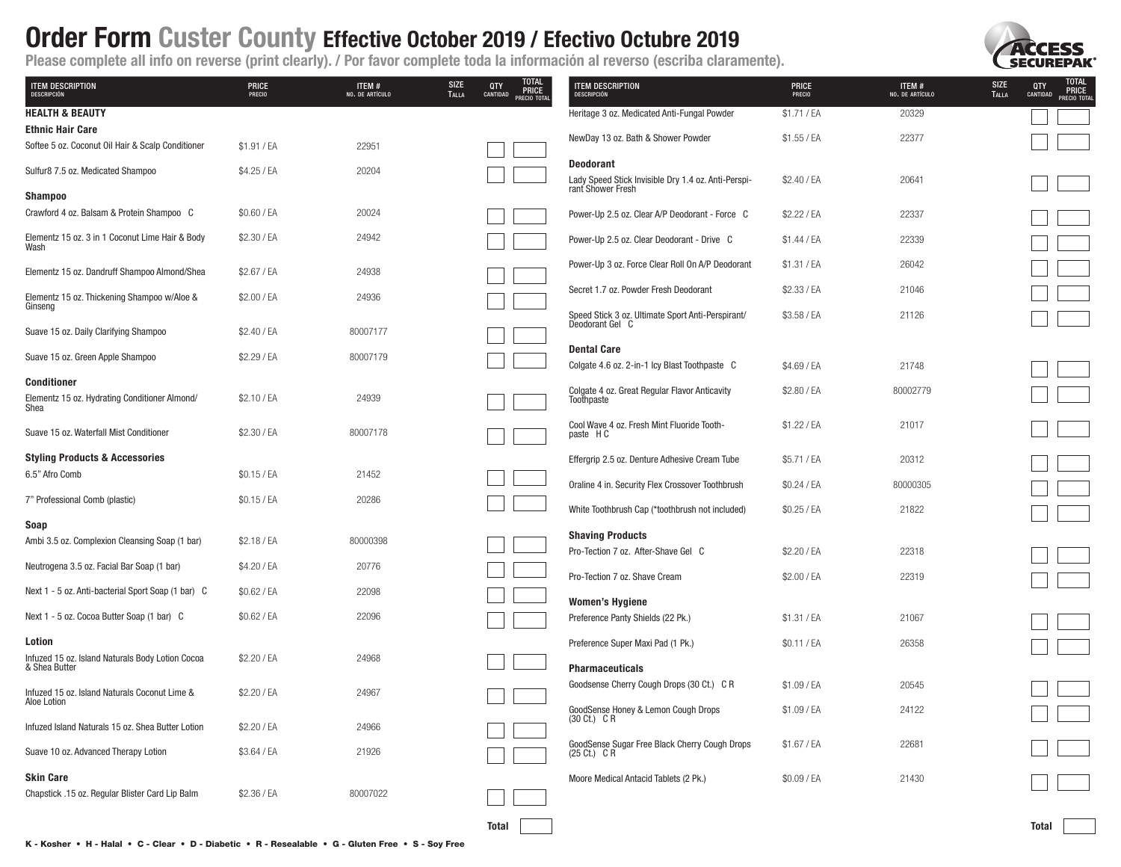

| <b>ITEM DESCRIPTION</b><br>DESCRIPCIÓN                                       | <b>PRICE</b><br>PRECIO | ITEM #<br>NO. DE ARTÍCULO | TOTAL<br>PRICE<br>PRECIO TOTAL<br><b>SIZE</b><br>QTY<br>TALLA<br>CANTIDAD | ITEM DESCRIPTION<br>DESCRIPCIÓN                                                 | <b>PRICE</b><br>PRECIO | ITEM #<br>NO. DE ARTÍCULO | TOTAL<br>PRICE<br>PRECIO TOTAL<br><b>SIZE</b><br>QTY<br>TALLA<br>CANTIDAD |
|------------------------------------------------------------------------------|------------------------|---------------------------|---------------------------------------------------------------------------|---------------------------------------------------------------------------------|------------------------|---------------------------|---------------------------------------------------------------------------|
| <b>HEALTH &amp; BEAUTY</b>                                                   |                        |                           |                                                                           | Heritage 3 oz. Medicated Anti-Fungal Powder                                     | \$1.71 / EA            | 20329                     |                                                                           |
| <b>Ethnic Hair Care</b><br>Softee 5 oz. Coconut Oil Hair & Scalp Conditioner | \$1.91 / EA            | 22951                     |                                                                           | NewDay 13 oz. Bath & Shower Powder                                              | \$1.55 / EA            | 22377                     |                                                                           |
| Sulfur8 7.5 oz. Medicated Shampoo                                            | \$4.25 / EA            | 20204                     |                                                                           | <b>Deodorant</b>                                                                |                        |                           |                                                                           |
| <b>Shampoo</b>                                                               |                        |                           |                                                                           | Lady Speed Stick Invisible Dry 1.4 oz. Anti-Perspi-<br>rant Shower Fresh        | \$2.40 / EA            | 20641                     |                                                                           |
| Crawford 4 oz. Balsam & Protein Shampoo C                                    | \$0.60 / EA            | 20024                     |                                                                           | Power-Up 2.5 oz. Clear A/P Deodorant - Force C                                  | \$2.22 / EA            | 22337                     |                                                                           |
| Elementz 15 oz. 3 in 1 Coconut Lime Hair & Body<br>Wash                      | \$2.30 / EA            | 24942                     |                                                                           | Power-Up 2.5 oz. Clear Deodorant - Drive C                                      | \$1.44 / EA            | 22339                     |                                                                           |
| Elementz 15 oz. Dandruff Shampoo Almond/Shea                                 | \$2.67 / EA            | 24938                     |                                                                           | Power-Up 3 oz. Force Clear Roll On A/P Deodorant                                | \$1.31 / EA            | 26042                     |                                                                           |
| Elementz 15 oz. Thickening Shampoo w/Aloe &                                  | \$2.00 / EA            | 24936                     |                                                                           | Secret 1.7 oz. Powder Fresh Deodorant                                           | \$2.33 / EA            | 21046                     |                                                                           |
| Ginseng                                                                      |                        |                           |                                                                           | Speed Stick 3 oz. Ultimate Sport Anti-Perspirant/<br>Deodorant Gel C            | \$3.58 / EA            | 21126                     |                                                                           |
| Suave 15 oz. Daily Clarifying Shampoo                                        | \$2.40 / EA            | 80007177                  |                                                                           | <b>Dental Care</b>                                                              |                        |                           |                                                                           |
| Suave 15 oz. Green Apple Shampoo                                             | \$2.29 / EA            | 80007179                  |                                                                           | Colgate 4.6 oz. 2-in-1 lcy Blast Toothpaste C                                   | \$4.69 / EA            | 21748                     |                                                                           |
| <b>Conditioner</b><br>Elementz 15 oz. Hydrating Conditioner Almond/<br>Shea  | \$2.10 / EA            | 24939                     |                                                                           | Colgate 4 oz. Great Regular Flavor Anticavity<br>Toothpaste                     | \$2.80 / EA            | 80002779                  |                                                                           |
| Suave 15 oz. Waterfall Mist Conditioner                                      | \$2.30 / EA            | 80007178                  |                                                                           | Cool Wave 4 oz. Fresh Mint Fluoride Tooth-<br>paste HC                          | \$1.22 / EA            | 21017                     |                                                                           |
| <b>Styling Products &amp; Accessories</b>                                    |                        |                           |                                                                           | Effergrip 2.5 oz. Denture Adhesive Cream Tube                                   | \$5.71 / EA            | 20312                     |                                                                           |
| 6.5" Afro Comb                                                               | \$0.15 / EA            | 21452                     |                                                                           | Oraline 4 in. Security Flex Crossover Toothbrush                                | \$0.24 / EA            | 80000305                  |                                                                           |
| 7" Professional Comb (plastic)                                               | \$0.15 / EA            | 20286                     |                                                                           | White Toothbrush Cap (*toothbrush not included)                                 | \$0.25 / EA            | 21822                     |                                                                           |
| Soap<br>Ambi 3.5 oz. Complexion Cleansing Soap (1 bar)                       | \$2.18 / EA            | 80000398                  |                                                                           | <b>Shaving Products</b>                                                         |                        |                           |                                                                           |
| Neutrogena 3.5 oz. Facial Bar Soap (1 bar)                                   | \$4.20 / EA            | 20776                     |                                                                           | Pro-Tection 7 oz. After-Shave Gel C                                             | \$2.20 / EA            | 22318                     |                                                                           |
| Next 1 - 5 oz. Anti-bacterial Sport Soap (1 bar) C                           | \$0.62 / EA            | 22098                     |                                                                           | Pro-Tection 7 oz. Shave Cream                                                   | \$2.00 / EA            | 22319                     |                                                                           |
|                                                                              |                        |                           |                                                                           | <b>Women's Hygiene</b>                                                          |                        |                           |                                                                           |
| Next 1 - 5 oz. Cocoa Butter Soap (1 bar) C                                   | \$0.62 / EA            | 22096                     |                                                                           | Preference Panty Shields (22 Pk.)                                               | \$1.31 / EA            | 21067                     |                                                                           |
| Lotion<br>Infuzed 15 oz. Island Naturals Body Lotion Cocoa                   | \$2.20 / EA            | 24968                     |                                                                           | Preference Super Maxi Pad (1 Pk.)                                               | \$0.11 / EA            | 26358                     |                                                                           |
| & Shea Butter                                                                |                        |                           |                                                                           | <b>Pharmaceuticals</b>                                                          |                        |                           |                                                                           |
| Infuzed 15 oz. Island Naturals Coconut Lime &<br>Aloe Lotion                 | \$2.20 / EA            | 24967                     |                                                                           | Goodsense Cherry Cough Drops (30 Ct.) C R                                       | \$1.09 / EA            | 20545                     |                                                                           |
| Infuzed Island Naturals 15 oz. Shea Butter Lotion                            | \$2.20 / EA            | 24966                     |                                                                           | GoodSense Honey & Lemon Cough Drops<br>(30 Ct.) C R                             | \$1.09 / EA            | 24122                     |                                                                           |
| Suave 10 oz. Advanced Therapy Lotion                                         | \$3.64 / EA            | 21926                     |                                                                           | GoodSense Sugar Free Black Cherry Cough Drops<br>$(25 \text{ Ct.}) \text{ C R}$ | \$1.67 / EA            | 22681                     |                                                                           |
| <b>Skin Care</b><br>Chapstick .15 oz. Regular Blister Card Lip Balm          | \$2.36 / EA            | 80007022                  |                                                                           | Moore Medical Antacid Tablets (2 Pk.)                                           | \$0.09 / EA            | 21430                     |                                                                           |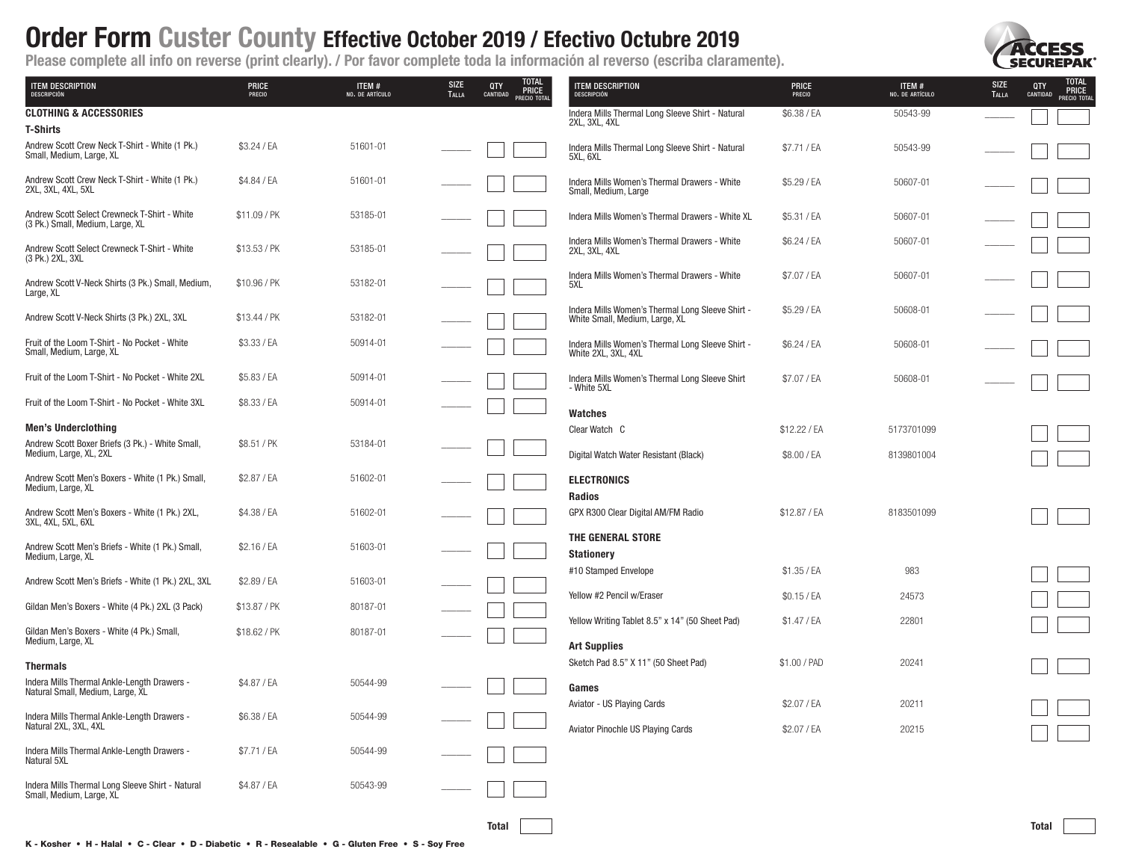

| <b>ITEM DESCRIPTION</b><br>DESCRIPCIÓN                                           | <b>PRICE</b><br>PRECIO | ITEM #<br>NO. DE ARTÍCULO | <b>SIZE</b><br><b>TALLA</b> | TOTAL<br>PRICE<br>QTY<br>CANTIDAD<br>PRECIO TOTAL | <b>TEM DESCRIPTION</b><br>DESCRIPCIÓN                                              | <b>PRICE</b><br>PRECIO     | ITEM #<br>NO. DE ARTÍCULO | SIZE<br>TALLA | <b>TOTAL<br/>PRICE</b><br>QTY<br>CANTIDAD<br>PRECIO TOTAL |
|----------------------------------------------------------------------------------|------------------------|---------------------------|-----------------------------|---------------------------------------------------|------------------------------------------------------------------------------------|----------------------------|---------------------------|---------------|-----------------------------------------------------------|
| <b>CLOTHING &amp; ACCESSORIES</b><br><b>T-Shirts</b>                             |                        |                           |                             |                                                   | Indera Mills Thermal Long Sleeve Shirt - Natural<br>2XL, 3XL, 4XL                  | \$6.38 / EA                | 50543-99                  |               |                                                           |
| Andrew Scott Crew Neck T-Shirt - White (1 Pk.)<br>Small, Medium, Large, XL       | \$3.24 / EA            | 51601-01                  |                             |                                                   | Indera Mills Thermal Long Sleeve Shirt - Natural<br>5XL, 6XL                       | \$7.71 / EA                | 50543-99                  |               |                                                           |
| Andrew Scott Crew Neck T-Shirt - White (1 Pk.)<br>2XL, 3XL, 4XL, 5XL             | \$4.84 / EA            | 51601-01                  |                             |                                                   | Indera Mills Women's Thermal Drawers - White<br>Small, Medium, Large               | \$5.29 / EA                | 50607-01                  |               |                                                           |
| Andrew Scott Select Crewneck T-Shirt - White<br>(3 Pk.) Small, Medium, Large, XL | \$11.09 / PK           | 53185-01                  |                             |                                                   | Indera Mills Women's Thermal Drawers - White XL                                    | \$5.31 / EA                | 50607-01                  |               |                                                           |
| Andrew Scott Select Crewneck T-Shirt - White<br>(3 Pk.) 2XL, 3XL                 | \$13.53 / PK           | 53185-01                  |                             |                                                   | Indera Mills Women's Thermal Drawers - White<br>2XL, 3XL, 4XL                      | \$6.24 / EA                | 50607-01                  |               |                                                           |
| Andrew Scott V-Neck Shirts (3 Pk.) Small, Medium,<br>Large, XL                   | \$10.96 / PK           | 53182-01                  |                             |                                                   | Indera Mills Women's Thermal Drawers - White<br>5XL                                | \$7.07 / EA                | 50607-01                  |               |                                                           |
| Andrew Scott V-Neck Shirts (3 Pk.) 2XL, 3XL                                      | \$13.44 / PK           | 53182-01                  |                             |                                                   | Indera Mills Women's Thermal Long Sleeve Shirt -<br>White Small, Medium, Large, XL | \$5.29 / EA                | 50608-01                  |               |                                                           |
| Fruit of the Loom T-Shirt - No Pocket - White<br>Small, Medium, Large, XL        | \$3.33 / EA            | 50914-01                  |                             |                                                   | Indera Mills Women's Thermal Long Sleeve Shirt -<br>White 2XL, 3XL, 4XL            | \$6.24 / EA                | 50608-01                  |               |                                                           |
| Fruit of the Loom T-Shirt - No Pocket - White 2XL                                | \$5.83 / EA            | 50914-01                  |                             |                                                   | Indera Mills Women's Thermal Long Sleeve Shirt<br>- White 5XL                      | \$7.07 / EA                | 50608-01                  |               |                                                           |
| Fruit of the Loom T-Shirt - No Pocket - White 3XL                                | \$8.33 / EA            | 50914-01                  |                             |                                                   | <b>Watches</b>                                                                     |                            |                           |               |                                                           |
| <b>Men's Underclothing</b>                                                       |                        |                           |                             |                                                   | Clear Watch C                                                                      | \$12.22 / EA               | 5173701099                |               |                                                           |
| Andrew Scott Boxer Briefs (3 Pk.) - White Small,<br>Medium, Large, XL, 2XL       | \$8.51 / PK            | 53184-01                  |                             |                                                   | Digital Watch Water Resistant (Black)                                              | \$8.00 / EA                | 8139801004                |               |                                                           |
| Andrew Scott Men's Boxers - White (1 Pk.) Small,<br>Medium, Large, XL            | \$2.87 / EA            | 51602-01                  |                             |                                                   | <b>ELECTRONICS</b><br><b>Radios</b>                                                |                            |                           |               |                                                           |
| Andrew Scott Men's Boxers - White (1 Pk.) 2XL,<br>3XL, 4XL, 5XL, 6XL             | \$4.38 / EA            | 51602-01                  |                             |                                                   | GPX R300 Clear Digital AM/FM Radio                                                 | \$12.87 / EA               | 8183501099                |               |                                                           |
| Andrew Scott Men's Briefs - White (1 Pk.) Small,<br>Medium, Large, XL            | \$2.16 / EA            | 51603-01                  |                             |                                                   | THE GENERAL STORE<br><b>Stationery</b>                                             |                            |                           |               |                                                           |
| Andrew Scott Men's Briefs - White (1 Pk.) 2XL, 3XL                               | \$2.89 / EA            | 51603-01                  |                             |                                                   | #10 Stamped Envelope                                                               | \$1.35 / EA                | 983                       |               |                                                           |
| Gildan Men's Boxers - White (4 Pk.) 2XL (3 Pack)                                 | \$13.87 / PK           | 80187-01                  |                             |                                                   | Yellow #2 Pencil w/Eraser                                                          | \$0.15 / EA                | 24573                     |               |                                                           |
| Gildan Men's Boxers - White (4 Pk.) Small,<br>Medium, Large, XL                  | \$18.62 / PK           | 80187-01                  |                             |                                                   | Yellow Writing Tablet 8.5" x 14" (50 Sheet Pad)<br><b>Art Supplies</b>             | \$1.47 / EA                | 22801                     |               |                                                           |
| <b>Thermals</b>                                                                  |                        |                           |                             |                                                   | Sketch Pad 8.5" X 11" (50 Sheet Pad)                                               | \$1.00 / PAD               | 20241                     |               |                                                           |
| Indera Mills Thermal Ankle-Length Drawers -<br>Natural Small, Medium, Large, XL  | \$4.87 / EA            | 50544-99                  |                             |                                                   | Games                                                                              |                            |                           |               |                                                           |
| Indera Mills Thermal Ankle-Length Drawers -<br>Natural 2XL, 3XL, 4XL             | \$6.38 / EA            | 50544-99                  |                             |                                                   | Aviator - US Playing Cards<br>Aviator Pinochle US Playing Cards                    | \$2.07 / EA<br>\$2.07 / EA | 20211<br>20215            |               |                                                           |
| Indera Mills Thermal Ankle-Length Drawers -<br>Natural 5XL                       | \$7.71 / EA            | 50544-99                  |                             |                                                   |                                                                                    |                            |                           |               |                                                           |
| Indera Mills Thermal Long Sleeve Shirt - Natural<br>Small, Medium, Large, XL     | \$4.87 / EA            | 50543-99                  |                             |                                                   |                                                                                    |                            |                           |               |                                                           |
|                                                                                  |                        |                           |                             | <b>Total</b>                                      |                                                                                    |                            |                           |               | Total                                                     |